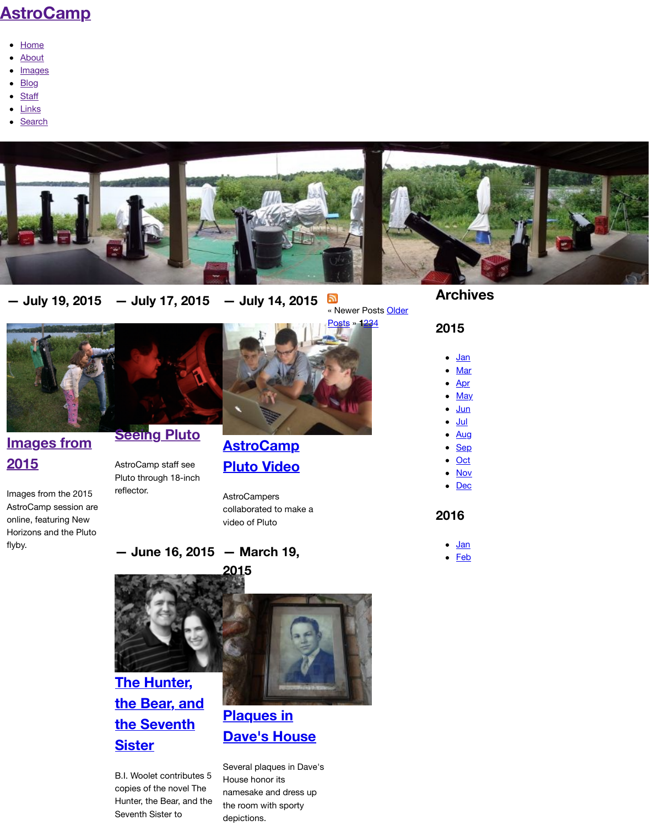#### **[— July 19, 201](http://www.astrocamp.us/)5 — July 17, 2015 — July 14, 2015**  $\mathbb{Z}$

« Newer Posts Older

Posts » **1**234



#### **Seeing Pluto**

## **Images from 2015**

Images from the 2015 AstroCamp session are online, featuring New Horizons and the Pluto

flyby.

AstroCamp staff see Pluto through 18-inch reflector.

# **AstroCamp Pluto Video**

**AstroCampers** collaborated to make a video of Pluto

#### **— June 16, 2015 — March 19,**



**[The H](http://www.astrocamp.us/index.php/blog/images-2015/)unter, [the Bear, and](http://www.astrocamp.us/index.php/blog/seeing-pluto/) [the Seventh](http://www.astrocamp.us/index.php/blog/seeing-pluto/) Sister**

B.I. Woolet contributes 5 copies of the novel The Hunter, the Bear, and the Seventh Sister to

## **[Plaques in](http://www.astrocamp.us/index.php/blog/astrocamp-pluto-video/) [Dave's Hou](http://www.astrocamp.us/index.php/blog/astrocamp-pluto-video/)se**

Several plaques in Dave's House honor its namesake and dress up the room with sporty depictions.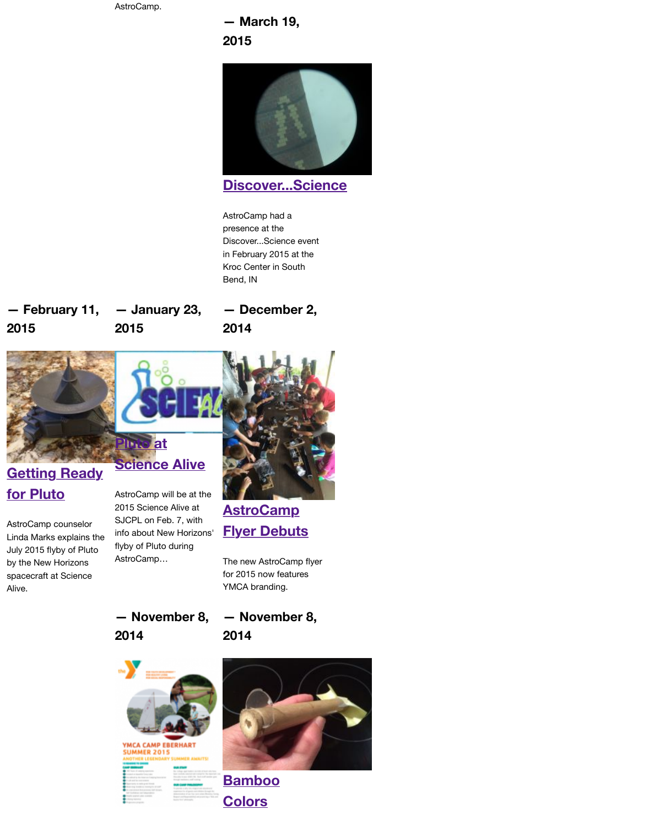#### **— February 11, 2015 — January 23, 2015 — December 2, 2014**





### **Getting Ready for Pluto**

AstroCamp counselor Linda Marks explains the July 2015 flyby of Pluto by the New Horizons spacecraft at Science Alive.

AstroCamp will be at the 2015 Science Alive at SJCPL on Feb. 7, with info about New Horizons' flyby of Pluto during AstroCamp…



## **AstroCamp Flyer Debuts**

The new AstroCamp flyer for 2015 now features YMCA branding.

**— November 8, [2014](http://www.astrocamp.us/index.php/blog/getting-ready-pluto/)**

**— November 8, 2014**



#### **YMCA CAMP EBERHART JMMER 2015 ER AWAITS!**



**[Bamboo](http://www.astrocamp.us/index.php/blog/astrocamp-flyer-debuts/) [Colors](http://www.astrocamp.us/index.php/blog/astrocamp-flyer-debuts/)**